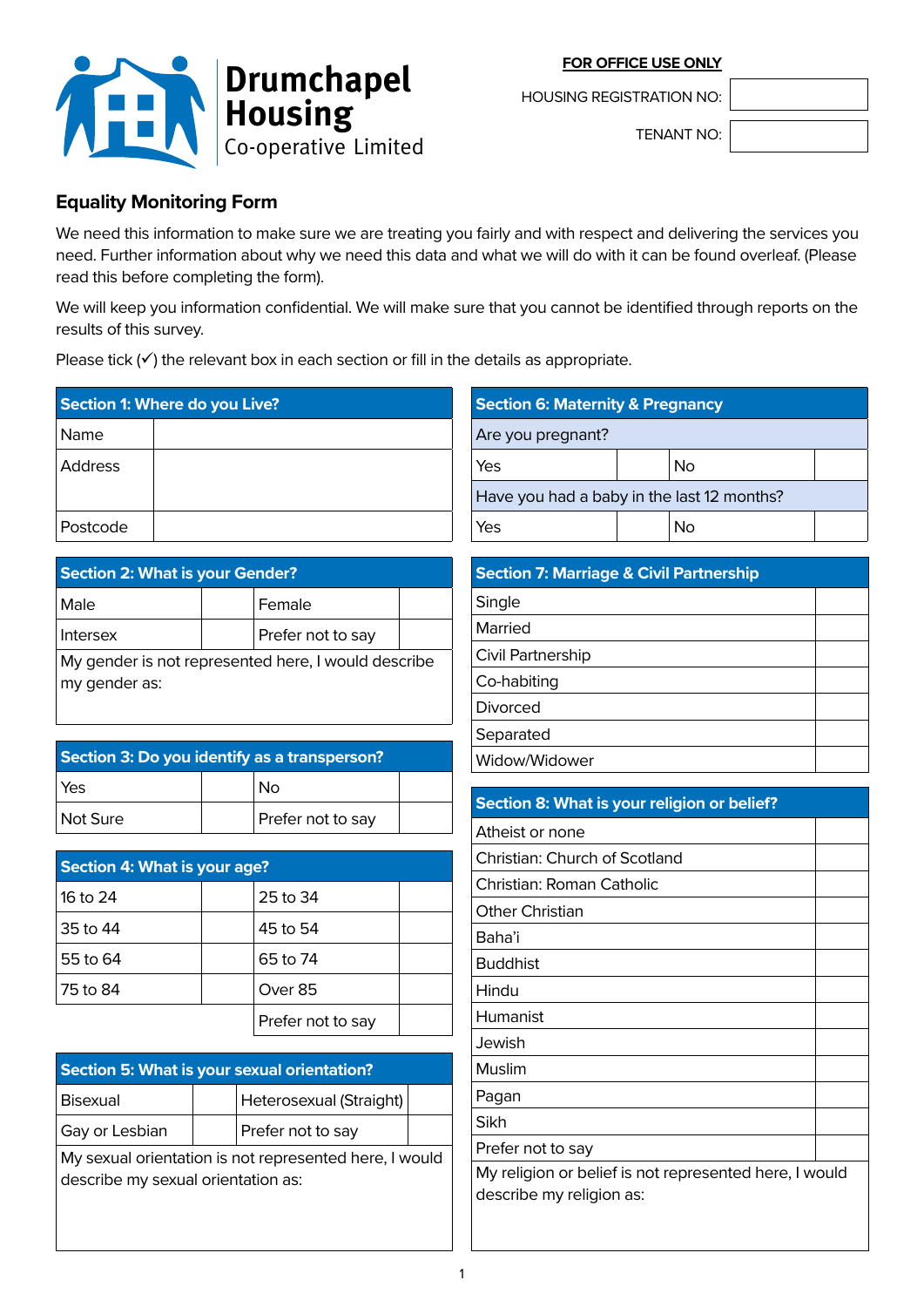**FOR OFFICE USE ONLY**



HOUSING REGISTRATION NO:

TENANT NO:

# **Equality Monitoring Form**

We need this information to make sure we are treating you fairly and with respect and delivering the services you need. Further information about why we need this data and what we will do with it can be found overleaf. (Please read this before completing the form).

We will keep you information confidential. We will make sure that you cannot be identified through reports on the results of this survey.

Please tick  $(\checkmark)$  the relevant box in each section or fill in the details as appropriate.

| Section 1: Where do you Live? |  |
|-------------------------------|--|
| Name                          |  |
| Address                       |  |
| Postcode                      |  |

| <b>Section 2: What is your Gender?</b>              |  |                   |  |
|-----------------------------------------------------|--|-------------------|--|
| Male                                                |  | Female            |  |
| <b>Intersex</b>                                     |  | Prefer not to say |  |
| My gender is not represented here, I would describe |  |                   |  |
| my gender as:                                       |  |                   |  |

| Section 3: Do you identify as a transperson? |  |                   |  |
|----------------------------------------------|--|-------------------|--|
| l Yes                                        |  | Nο                |  |
| Not Sure                                     |  | Prefer not to say |  |

| Section 4: What is your age? |  |                   |  |
|------------------------------|--|-------------------|--|
| 16 to 24                     |  | 25 to 34          |  |
| 35 to 44                     |  | 45 to 54          |  |
| 55 to 64                     |  | 65 to 74          |  |
| 75 to 84                     |  | Over 85           |  |
|                              |  | Prefer not to say |  |

| Section 5: What is your sexual orientation?                                                                    |  |                         |  |
|----------------------------------------------------------------------------------------------------------------|--|-------------------------|--|
| Bisexual                                                                                                       |  | Heterosexual (Straight) |  |
| Gay or Lesbian                                                                                                 |  | Prefer not to say       |  |
| l Nolla de casa esta contra entre la contra de la casa de casa estatuna estatunidad de la casa de la casa de l |  |                         |  |

My sexual orientation is not represented here, I would describe my sexual orientation as:

| <b>Section 6: Maternity &amp; Pregnancy</b> |  |    |  |
|---------------------------------------------|--|----|--|
| Are you pregnant?                           |  |    |  |
| Yes                                         |  | No |  |
| Have you had a baby in the last 12 months?  |  |    |  |
| Yes                                         |  | Nο |  |

| <b>Section 7: Marriage &amp; Civil Partnership</b> |  |
|----------------------------------------------------|--|
| Single                                             |  |
| Married                                            |  |
| Civil Partnership                                  |  |
| Co-habiting                                        |  |
| Divorced                                           |  |
| Separated                                          |  |
| Widow/Widower                                      |  |

| Section 8: What is your religion or belief?                                        |  |
|------------------------------------------------------------------------------------|--|
| Atheist or none                                                                    |  |
| Christian: Church of Scotland                                                      |  |
| Christian: Roman Catholic                                                          |  |
| <b>Other Christian</b>                                                             |  |
| Baha'i                                                                             |  |
| <b>Buddhist</b>                                                                    |  |
| Hindu                                                                              |  |
| Humanist                                                                           |  |
| Jewish                                                                             |  |
| Muslim                                                                             |  |
| Pagan                                                                              |  |
| Sikh                                                                               |  |
| Prefer not to say                                                                  |  |
| My religion or belief is not represented here, I would<br>describe my religion as: |  |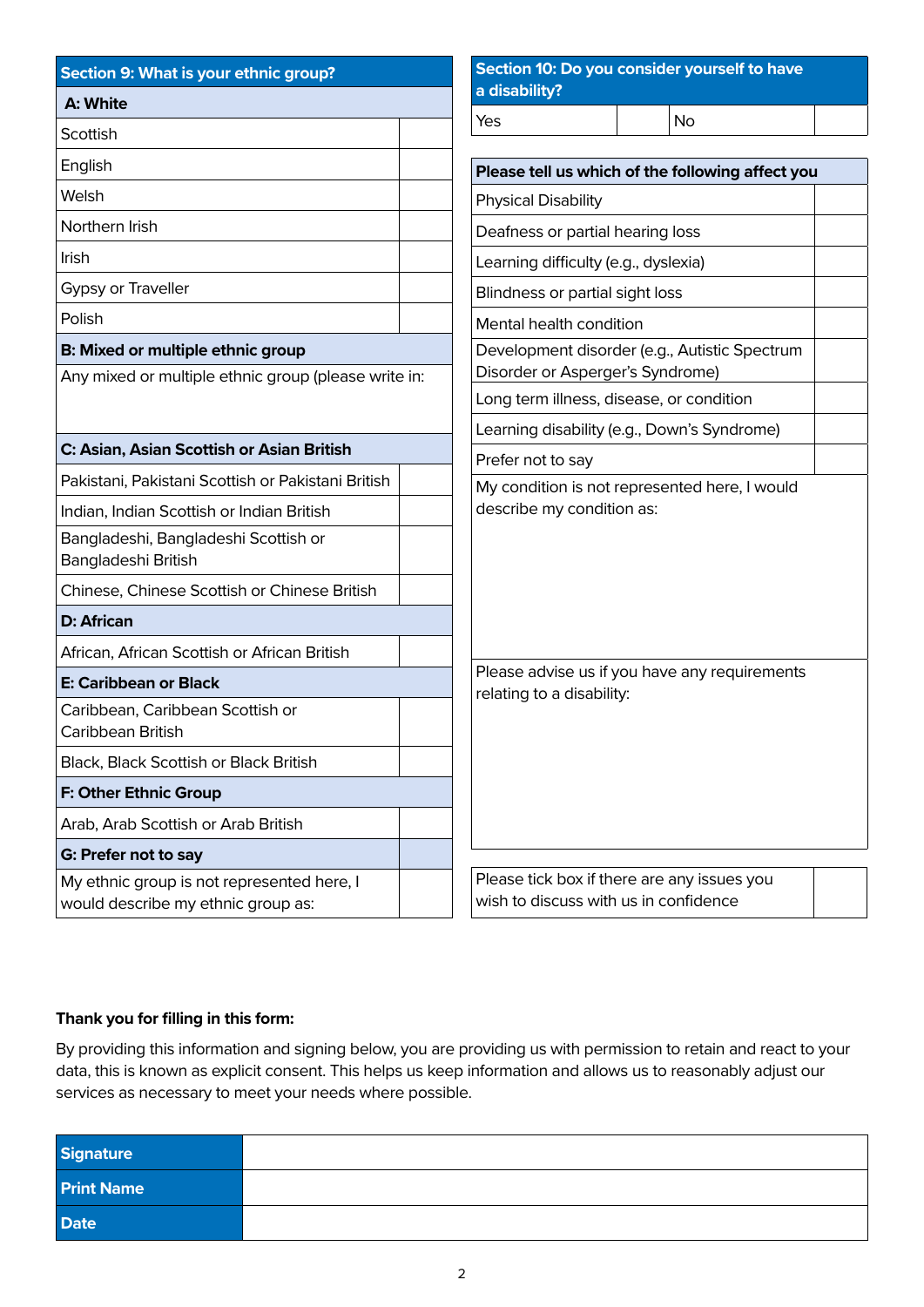| Section 9: What is your ethnic group?                                                     |  | Section 10: Do you consider yourself to have  |                                                  |  |
|-------------------------------------------------------------------------------------------|--|-----------------------------------------------|--------------------------------------------------|--|
| A: White                                                                                  |  | a disability?                                 |                                                  |  |
| Scottish                                                                                  |  | Yes                                           | <b>No</b>                                        |  |
| English                                                                                   |  |                                               | Please tell us which of the following affect you |  |
| Welsh                                                                                     |  | <b>Physical Disability</b>                    |                                                  |  |
| Northern Irish                                                                            |  | Deafness or partial hearing loss              |                                                  |  |
| Irish                                                                                     |  | Learning difficulty (e.g., dyslexia)          |                                                  |  |
| Gypsy or Traveller                                                                        |  | Blindness or partial sight loss               |                                                  |  |
| Polish                                                                                    |  | Mental health condition                       |                                                  |  |
| B: Mixed or multiple ethnic group<br>Any mixed or multiple ethnic group (please write in: |  | Disorder or Asperger's Syndrome)              | Development disorder (e.g., Autistic Spectrum    |  |
|                                                                                           |  |                                               | Long term illness, disease, or condition         |  |
|                                                                                           |  |                                               | Learning disability (e.g., Down's Syndrome)      |  |
| C: Asian, Asian Scottish or Asian British                                                 |  | Prefer not to say                             |                                                  |  |
| Pakistani, Pakistani Scottish or Pakistani British                                        |  | My condition is not represented here, I would |                                                  |  |
| Indian, Indian Scottish or Indian British                                                 |  | describe my condition as:                     |                                                  |  |
| Bangladeshi, Bangladeshi Scottish or<br>Bangladeshi British                               |  |                                               |                                                  |  |
| Chinese, Chinese Scottish or Chinese British                                              |  |                                               |                                                  |  |
| <b>D: African</b>                                                                         |  |                                               |                                                  |  |
| African, African Scottish or African British                                              |  |                                               |                                                  |  |
| <b>E: Caribbean or Black</b>                                                              |  | relating to a disability:                     | Please advise us if you have any requirements    |  |
| Caribbean, Caribbean Scottish or<br>Caribbean British                                     |  |                                               |                                                  |  |
| Black, Black Scottish or Black British                                                    |  |                                               |                                                  |  |
| F: Other Ethnic Group                                                                     |  |                                               |                                                  |  |
| Arab, Arab Scottish or Arab British                                                       |  |                                               |                                                  |  |
| G: Prefer not to say                                                                      |  |                                               |                                                  |  |
| My ethnic group is not represented here, I<br>would describe my ethnic group as:          |  | wish to discuss with us in confidence         | Please tick box if there are any issues you      |  |

## **Thank you for filling in this form:**

By providing this information and signing below, you are providing us with permission to retain and react to your data, this is known as explicit consent. This helps us keep information and allows us to reasonably adjust our services as necessary to meet your needs where possible.

| <b>Signature</b>  |  |
|-------------------|--|
| <b>Print Name</b> |  |
| <b>Date</b>       |  |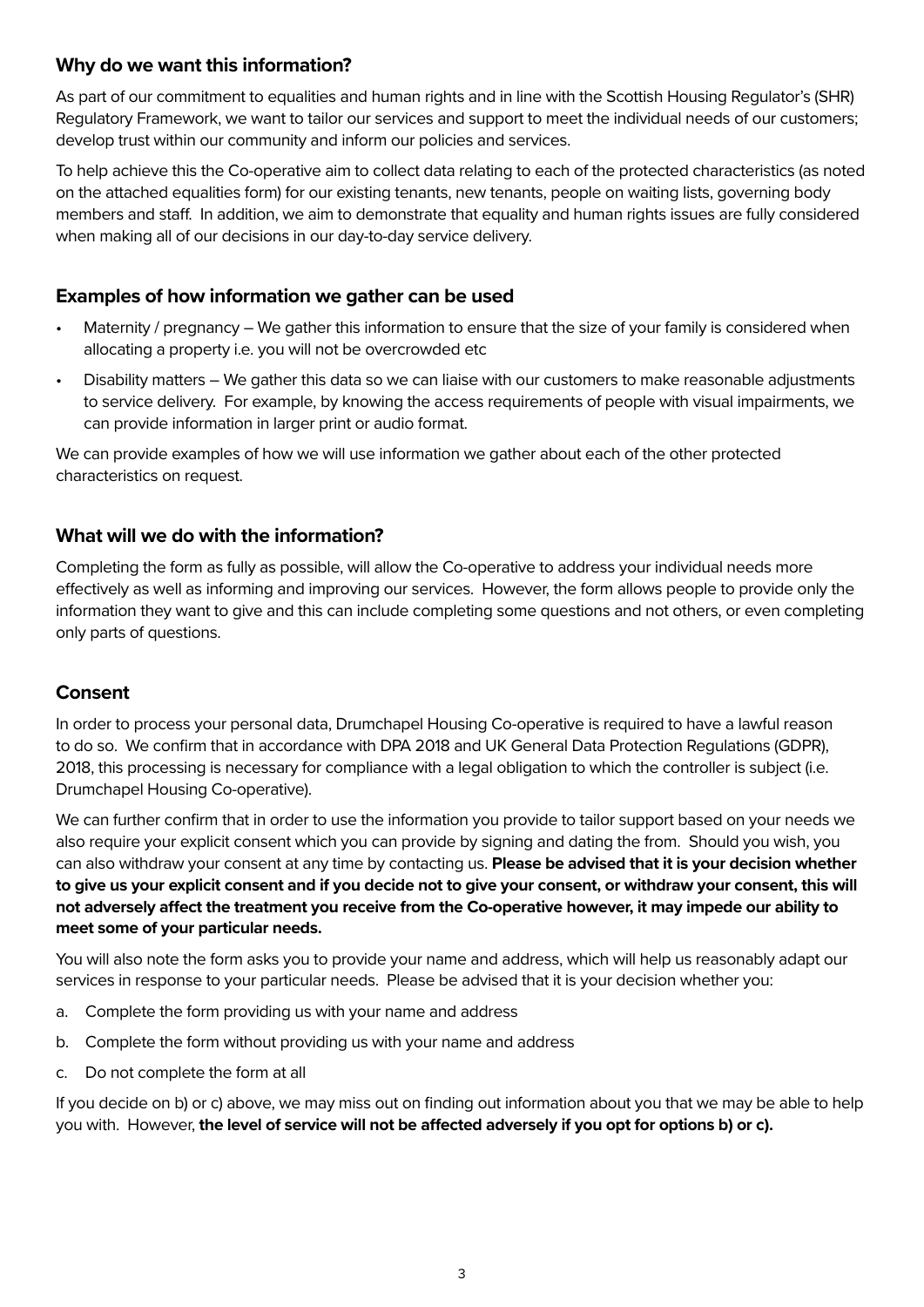## **Why do we want this information?**

As part of our commitment to equalities and human rights and in line with the Scottish Housing Regulator's (SHR) Regulatory Framework, we want to tailor our services and support to meet the individual needs of our customers; develop trust within our community and inform our policies and services.

To help achieve this the Co-operative aim to collect data relating to each of the protected characteristics (as noted on the attached equalities form) for our existing tenants, new tenants, people on waiting lists, governing body members and staff. In addition, we aim to demonstrate that equality and human rights issues are fully considered when making all of our decisions in our day-to-day service delivery.

## **Examples of how information we gather can be used**

- Maternity / pregnancy We gather this information to ensure that the size of your family is considered when allocating a property i.e. you will not be overcrowded etc
- Disability matters We gather this data so we can liaise with our customers to make reasonable adjustments to service delivery. For example, by knowing the access requirements of people with visual impairments, we can provide information in larger print or audio format.

We can provide examples of how we will use information we gather about each of the other protected characteristics on request.

## **What will we do with the information?**

Completing the form as fully as possible, will allow the Co-operative to address your individual needs more effectively as well as informing and improving our services. However, the form allows people to provide only the information they want to give and this can include completing some questions and not others, or even completing only parts of questions.

## **Consent**

In order to process your personal data, Drumchapel Housing Co-operative is required to have a lawful reason to do so. We confirm that in accordance with DPA 2018 and UK General Data Protection Regulations (GDPR), 2018, this processing is necessary for compliance with a legal obligation to which the controller is subject (i.e. Drumchapel Housing Co-operative).

We can further confirm that in order to use the information you provide to tailor support based on your needs we also require your explicit consent which you can provide by signing and dating the from. Should you wish, you can also withdraw your consent at any time by contacting us. **Please be advised that it is your decision whether to give us your explicit consent and if you decide not to give your consent, or withdraw your consent, this will not adversely affect the treatment you receive from the Co-operative however, it may impede our ability to meet some of your particular needs.**

You will also note the form asks you to provide your name and address, which will help us reasonably adapt our services in response to your particular needs. Please be advised that it is your decision whether you:

- a. Complete the form providing us with your name and address
- b. Complete the form without providing us with your name and address
- c. Do not complete the form at all

If you decide on b) or c) above, we may miss out on finding out information about you that we may be able to help you with. However, **the level of service will not be affected adversely if you opt for options b) or c).**